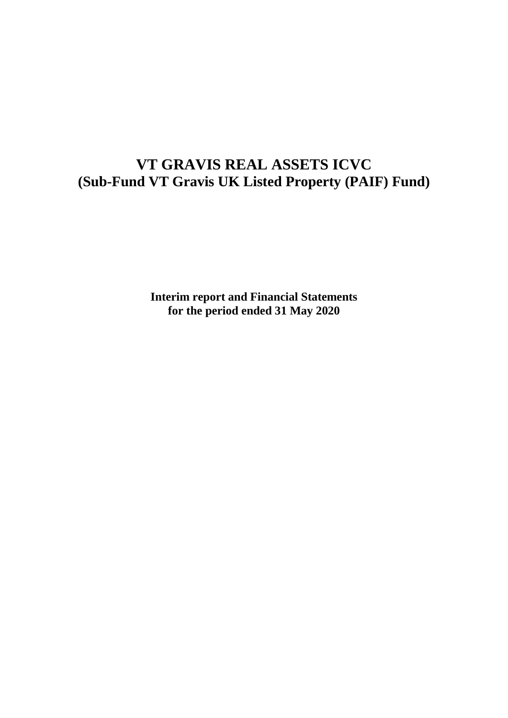# **VT GRAVIS REAL ASSETS ICVC (Sub-Fund VT Gravis UK Listed Property (PAIF) Fund)**

**Interim report and Financial Statements for the period ended 31 May 2020**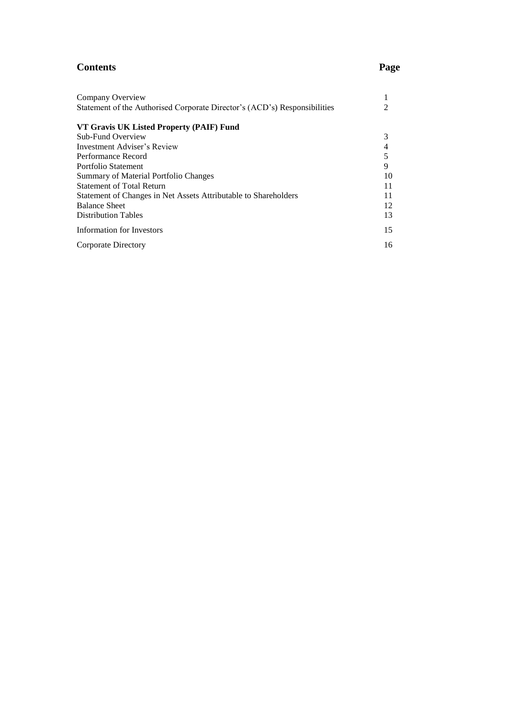### **Contents Page**

| Company Overview                                                          |    |
|---------------------------------------------------------------------------|----|
| Statement of the Authorised Corporate Director's (ACD's) Responsibilities |    |
| VT Gravis UK Listed Property (PAIF) Fund                                  |    |
| Sub-Fund Overview                                                         | 3  |
| Investment Adviser's Review                                               |    |
| Performance Record                                                        |    |
| Portfolio Statement                                                       | 9  |
| Summary of Material Portfolio Changes                                     | 10 |
| <b>Statement of Total Return</b>                                          | 11 |
| Statement of Changes in Net Assets Attributable to Shareholders           | 11 |
| <b>Balance Sheet</b>                                                      | 12 |
| <b>Distribution Tables</b>                                                | 13 |
| Information for Investors                                                 | 15 |
| Corporate Directory                                                       | 16 |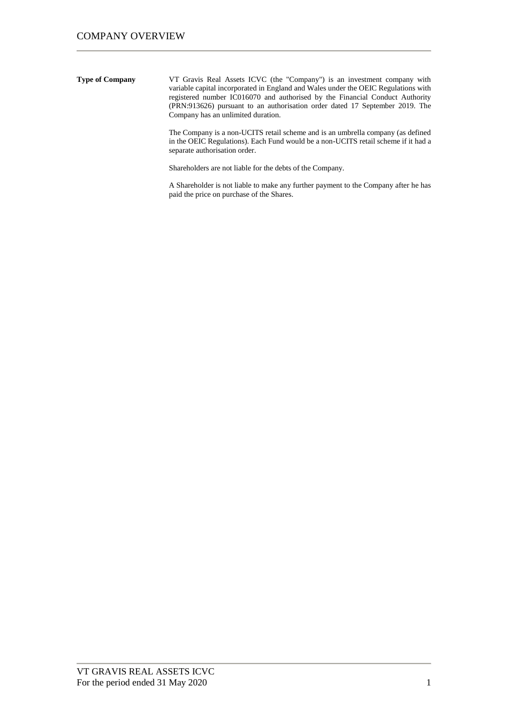**Type of Company** VT Gravis Real Assets ICVC (the "Company") is an investment company with variable capital incorporated in England and Wales under the OEIC Regulations with registered number IC016070 and authorised by the Financial Conduct Authority (PRN:913626) pursuant to an authorisation order dated 17 September 2019. The Company has an unlimited duration.

> The Company is a non-UCITS retail scheme and is an umbrella company (as defined in the OEIC Regulations). Each Fund would be a non-UCITS retail scheme if it had a separate authorisation order.

Shareholders are not liable for the debts of the Company.

A Shareholder is not liable to make any further payment to the Company after he has paid the price on purchase of the Shares.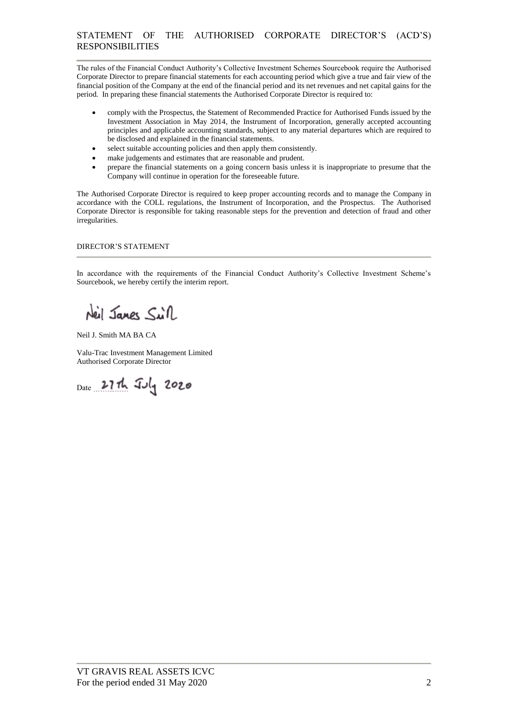The rules of the Financial Conduct Authority's Collective Investment Schemes Sourcebook require the Authorised Corporate Director to prepare financial statements for each accounting period which give a true and fair view of the financial position of the Company at the end of the financial period and its net revenues and net capital gains for the period. In preparing these financial statements the Authorised Corporate Director is required to:

- comply with the Prospectus, the Statement of Recommended Practice for Authorised Funds issued by the Investment Association in May 2014, the Instrument of Incorporation, generally accepted accounting principles and applicable accounting standards, subject to any material departures which are required to be disclosed and explained in the financial statements.
- select suitable accounting policies and then apply them consistently.
- make judgements and estimates that are reasonable and prudent.
- prepare the financial statements on a going concern basis unless it is inappropriate to presume that the Company will continue in operation for the foreseeable future.

The Authorised Corporate Director is required to keep proper accounting records and to manage the Company in accordance with the COLL regulations, the Instrument of Incorporation, and the Prospectus. The Authorised Corporate Director is responsible for taking reasonable steps for the prevention and detection of fraud and other irregularities.

#### DIRECTOR'S STATEMENT

In accordance with the requirements of the Financial Conduct Authority's Collective Investment Scheme's Sourcebook, we hereby certify the interim report.

Neil Jange Sill

Neil J. Smith MA BA CA

Valu-Trac Investment Management Limited Authorised Corporate Director

Date 27th July 2020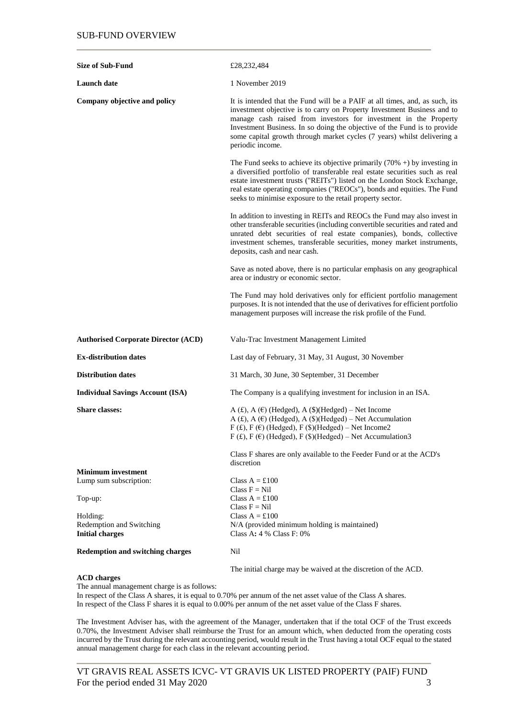| <b>Size of Sub-Fund</b>                                        | £28,232,484                                                                                                                                                                                                                                                                                                                                                                                           |
|----------------------------------------------------------------|-------------------------------------------------------------------------------------------------------------------------------------------------------------------------------------------------------------------------------------------------------------------------------------------------------------------------------------------------------------------------------------------------------|
| <b>Launch date</b>                                             | 1 November 2019                                                                                                                                                                                                                                                                                                                                                                                       |
| Company objective and policy                                   | It is intended that the Fund will be a PAIF at all times, and, as such, its<br>investment objective is to carry on Property Investment Business and to<br>manage cash raised from investors for investment in the Property<br>Investment Business. In so doing the objective of the Fund is to provide<br>some capital growth through market cycles (7 years) whilst delivering a<br>periodic income. |
|                                                                | The Fund seeks to achieve its objective primarily $(70\% +)$ by investing in<br>a diversified portfolio of transferable real estate securities such as real<br>estate investment trusts ("REITs") listed on the London Stock Exchange,<br>real estate operating companies ("REOCs"), bonds and equities. The Fund<br>seeks to minimise exposure to the retail property sector.                        |
|                                                                | In addition to investing in REITs and REOCs the Fund may also invest in<br>other transferable securities (including convertible securities and rated and<br>unrated debt securities of real estate companies), bonds, collective<br>investment schemes, transferable securities, money market instruments,<br>deposits, cash and near cash.                                                           |
|                                                                | Save as noted above, there is no particular emphasis on any geographical<br>area or industry or economic sector.                                                                                                                                                                                                                                                                                      |
|                                                                | The Fund may hold derivatives only for efficient portfolio management<br>purposes. It is not intended that the use of derivatives for efficient portfolio<br>management purposes will increase the risk profile of the Fund.                                                                                                                                                                          |
| <b>Authorised Corporate Director (ACD)</b>                     | Valu-Trac Investment Management Limited                                                                                                                                                                                                                                                                                                                                                               |
| <b>Ex-distribution dates</b>                                   | Last day of February, 31 May, 31 August, 30 November                                                                                                                                                                                                                                                                                                                                                  |
| <b>Distribution dates</b>                                      | 31 March, 30 June, 30 September, 31 December                                                                                                                                                                                                                                                                                                                                                          |
| <b>Individual Savings Account (ISA)</b>                        | The Company is a qualifying investment for inclusion in an ISA.                                                                                                                                                                                                                                                                                                                                       |
| <b>Share classes:</b>                                          | A $(E)$ , A $(E)$ (Hedged), A $(\$)$ (Hedged) – Net Income<br>A (£), A ( $\epsilon$ ) (Hedged), A (\$)(Hedged) – Net Accumulation<br>$F(f)$ , $F(f)$ (Hedged), $F(f)$ )(Hedged) – Net Income2<br>F (£), F ( $\in$ ) (Hedged), F (\$)(Hedged) – Net Accumulation3                                                                                                                                      |
|                                                                | Class F shares are only available to the Feeder Fund or at the ACD's<br>discretion                                                                                                                                                                                                                                                                                                                    |
| <b>Minimum investment</b><br>Lump sum subscription:            | Class $A = £100$<br>Class $F = Nil$                                                                                                                                                                                                                                                                                                                                                                   |
| Top-up:                                                        | Class $A = £100$<br>Class $F = Nil$                                                                                                                                                                                                                                                                                                                                                                   |
| Holding:<br>Redemption and Switching<br><b>Initial charges</b> | Class $A = £100$<br>N/A (provided minimum holding is maintained)<br>Class A: $4\%$ Class F: $0\%$                                                                                                                                                                                                                                                                                                     |
| <b>Redemption and switching charges</b>                        | Nil                                                                                                                                                                                                                                                                                                                                                                                                   |
|                                                                | The initial charge may be waived at the discretion of the ACD.                                                                                                                                                                                                                                                                                                                                        |

#### **ACD charges**

The annual management charge is as follows:

In respect of the Class A shares, it is equal to 0.70% per annum of the net asset value of the Class A shares. In respect of the Class F shares it is equal to 0.00% per annum of the net asset value of the Class F shares.

The Investment Adviser has, with the agreement of the Manager, undertaken that if the total OCF of the Trust exceeds 0.70%, the Investment Adviser shall reimburse the Trust for an amount which, when deducted from the operating costs incurred by the Trust during the relevant accounting period, would result in the Trust having a total OCF equal to the stated annual management charge for each class in the relevant accounting period.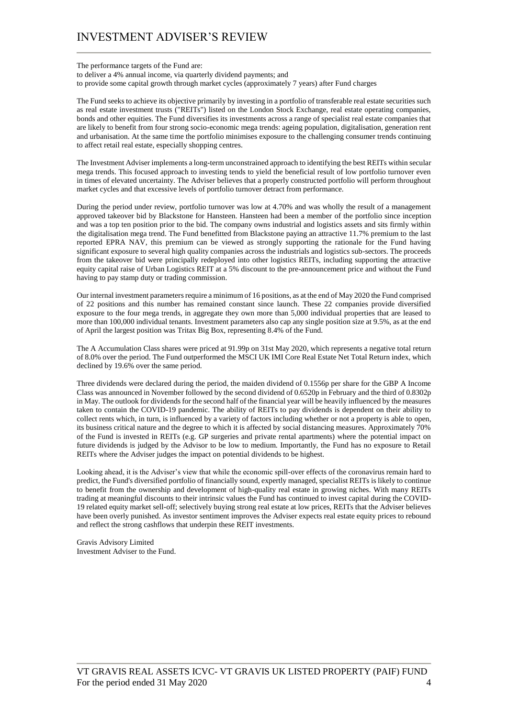The performance targets of the Fund are: to deliver a 4% annual income, via quarterly dividend payments; and to provide some capital growth through market cycles (approximately 7 years) after Fund charges

The Fund seeks to achieve its objective primarily by investing in a portfolio of transferable real estate securities such as real estate investment trusts ("REITs") listed on the London Stock Exchange, real estate operating companies, bonds and other equities. The Fund diversifies its investments across a range of specialist real estate companies that are likely to benefit from four strong socio-economic mega trends: ageing population, digitalisation, generation rent and urbanisation. At the same time the portfolio minimises exposure to the challenging consumer trends continuing to affect retail real estate, especially shopping centres.

The Investment Adviser implements a long-term unconstrained approach to identifying the best REITs within secular mega trends. This focused approach to investing tends to yield the beneficial result of low portfolio turnover even in times of elevated uncertainty. The Adviser believes that a properly constructed portfolio will perform throughout market cycles and that excessive levels of portfolio turnover detract from performance.

During the period under review, portfolio turnover was low at 4.70% and was wholly the result of a management approved takeover bid by Blackstone for Hansteen. Hansteen had been a member of the portfolio since inception and was a top ten position prior to the bid. The company owns industrial and logistics assets and sits firmly within the digitalisation mega trend. The Fund benefitted from Blackstone paying an attractive 11.7% premium to the last reported EPRA NAV, this premium can be viewed as strongly supporting the rationale for the Fund having significant exposure to several high quality companies across the industrials and logistics sub-sectors. The proceeds from the takeover bid were principally redeployed into other logistics REITs, including supporting the attractive equity capital raise of Urban Logistics REIT at a 5% discount to the pre-announcement price and without the Fund having to pay stamp duty or trading commission.

Our internal investment parameters require a minimum of 16 positions, as at the end of May 2020 the Fund comprised of 22 positions and this number has remained constant since launch. These 22 companies provide diversified exposure to the four mega trends, in aggregate they own more than 5,000 individual properties that are leased to more than 100,000 individual tenants. Investment parameters also cap any single position size at 9.5%, as at the end of April the largest position was Tritax Big Box, representing 8.4% of the Fund.

The A Accumulation Class shares were priced at 91.99p on 31st May 2020, which represents a negative total return of 8.0% over the period. The Fund outperformed the MSCI UK IMI Core Real Estate Net Total Return index, which declined by 19.6% over the same period.

Three dividends were declared during the period, the maiden dividend of 0.1556p per share for the GBP A Income Class was announced in November followed by the second dividend of 0.6520p in February and the third of 0.8302p in May. The outlook for dividends for the second half of the financial year will be heavily influenced by the measures taken to contain the COVID-19 pandemic. The ability of REITs to pay dividends is dependent on their ability to collect rents which, in turn, is influenced by a variety of factors including whether or not a property is able to open, its business critical nature and the degree to which it is affected by social distancing measures. Approximately 70% of the Fund is invested in REITs (e.g. GP surgeries and private rental apartments) where the potential impact on future dividends is judged by the Advisor to be low to medium. Importantly, the Fund has no exposure to Retail REITs where the Adviser judges the impact on potential dividends to be highest.

Looking ahead, it is the Adviser's view that while the economic spill-over effects of the coronavirus remain hard to predict, the Fund's diversified portfolio of financially sound, expertly managed, specialist REITs is likely to continue to benefit from the ownership and development of high-quality real estate in growing niches. With many REITs trading at meaningful discounts to their intrinsic values the Fund has continued to invest capital during the COVID-19 related equity market sell-off; selectively buying strong real estate at low prices, REITs that the Adviser believes have been overly punished. As investor sentiment improves the Adviser expects real estate equity prices to rebound and reflect the strong cashflows that underpin these REIT investments.

Gravis Advisory Limited Investment Adviser to the Fund.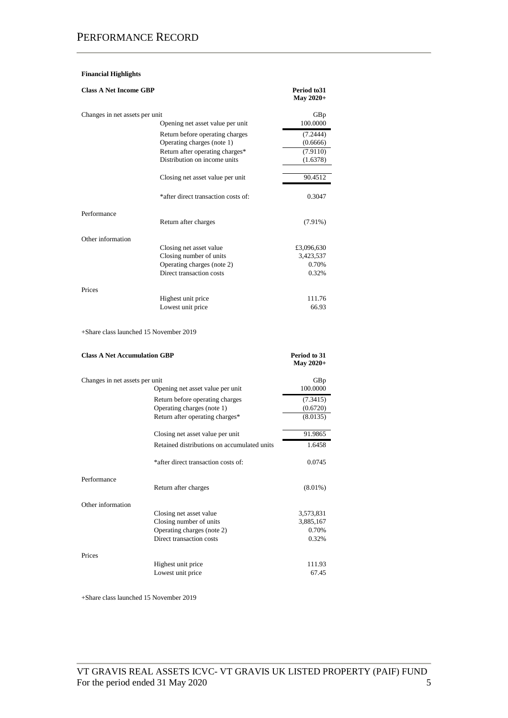### PERFORMANCE RECORD

#### **Financial Highlights**

| <b>Class A Net Income GBP</b>  |                                     | Period to 31<br>May 2020+ |
|--------------------------------|-------------------------------------|---------------------------|
| Changes in net assets per unit |                                     | GBp                       |
|                                | Opening net asset value per unit    | 100.0000                  |
|                                | Return before operating charges     | (7.2444)                  |
|                                | Operating charges (note 1)          | (0.6666)                  |
|                                | Return after operating charges*     | (7.9110)                  |
|                                | Distribution on income units        | (1.6378)                  |
|                                | Closing net asset value per unit    | 90.4512                   |
|                                | *after direct transaction costs of: | 0.3047                    |
| Performance                    | Return after charges                | $(7.91\%)$                |
| Other information              |                                     |                           |
|                                | Closing net asset value             | £3,096,630                |
|                                | Closing number of units             | 3,423,537                 |
|                                | Operating charges (note 2)          | 0.70%                     |
|                                | Direct transaction costs            | 0.32%                     |
| Prices                         |                                     |                           |
|                                | Highest unit price                  | 111.76                    |
|                                | Lowest unit price                   | 66.93                     |

+Share class launched 15 November 2019

| <b>Class A Net Accumulation GBP</b> | Period to 31<br>May 2020+                   |            |
|-------------------------------------|---------------------------------------------|------------|
| Changes in net assets per unit      |                                             | GBp        |
|                                     | Opening net asset value per unit            | 100.0000   |
|                                     | Return before operating charges             | (7.3415)   |
|                                     | Operating charges (note 1)                  | (0.6720)   |
|                                     | Return after operating charges*             | (8.0135)   |
|                                     | Closing net asset value per unit            | 91.9865    |
|                                     | Retained distributions on accumulated units | 1.6458     |
|                                     | *after direct transaction costs of:         | 0.0745     |
| Performance                         | Return after charges                        | $(8.01\%)$ |
| Other information                   |                                             |            |
|                                     | Closing net asset value                     | 3,573,831  |
|                                     | Closing number of units                     | 3,885,167  |
|                                     | Operating charges (note 2)                  | 0.70%      |
|                                     | Direct transaction costs                    | 0.32%      |
| Prices                              |                                             |            |
|                                     | Highest unit price                          | 111.93     |
|                                     | Lowest unit price                           | 67.45      |

+Share class launched 15 November 2019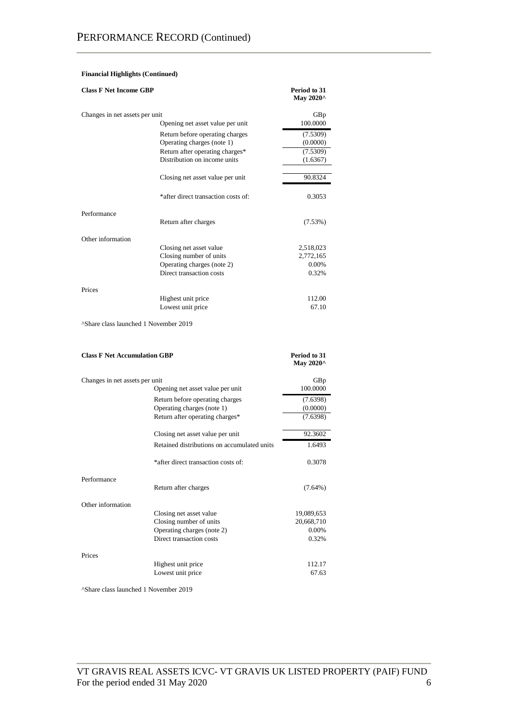#### **Financial Highlights (Continued)**

| <b>Class F Net Income GBP</b>                     |                                                               | Period to 31<br>May 2020^ |
|---------------------------------------------------|---------------------------------------------------------------|---------------------------|
| Changes in net assets per unit                    | Opening net asset value per unit                              | GBp<br>100.0000           |
|                                                   |                                                               |                           |
|                                                   | Return before operating charges                               | (7.5309)                  |
|                                                   | Operating charges (note 1)<br>Return after operating charges* | (0.0000)<br>(7.5309)      |
|                                                   | Distribution on income units                                  | (1.6367)                  |
|                                                   | Closing net asset value per unit                              | 90.8324                   |
|                                                   | *after direct transaction costs of:                           | 0.3053                    |
| Performance                                       |                                                               |                           |
|                                                   | Return after charges                                          | (7.53%)                   |
| Other information                                 |                                                               |                           |
|                                                   | Closing net asset value                                       | 2,518,023                 |
|                                                   | Closing number of units                                       | 2,772,165                 |
|                                                   | Operating charges (note 2)                                    | 0.00%                     |
|                                                   | Direct transaction costs                                      | 0.32%                     |
| Prices                                            |                                                               |                           |
|                                                   | Highest unit price                                            | 112.00                    |
|                                                   | Lowest unit price                                             | 67.10                     |
| <sup>^</sup> Share class launched 1 November 2019 |                                                               |                           |
| <b>Class F Net Accumulation GBP</b>               |                                                               | Period to 31<br>May 2020^ |
| Changes in net assets per unit                    |                                                               | GBp                       |
|                                                   | Opening net asset value per unit                              | 100.0000                  |
|                                                   | Return before operating charges                               | (7.6398)                  |
|                                                   | Operating charges (note 1)                                    | (0.0000)                  |
|                                                   | Return after operating charges*                               | (7.6398)                  |
|                                                   | Closing net asset value per unit                              | 92.3602                   |
|                                                   | Retained distributions on accumulated units                   | 1.6493                    |
|                                                   | *after direct transaction costs of:                           | 0.3078                    |
| Performance                                       |                                                               |                           |
|                                                   | Return after charges                                          | $(7.64\%)$                |
| Other information                                 |                                                               |                           |
|                                                   | Closing net asset value                                       | 19,089,653                |
|                                                   | Closing number of units                                       | 20,668,710                |
|                                                   | Operating charges (note 2)<br>Direct transaction costs        | 0.00%<br>0.32%            |
| Prices                                            |                                                               |                           |
|                                                   | Highest unit price                                            | 112.17                    |
|                                                   | Lowest unit price                                             | 67.63                     |

^Share class launched 1 November 2019

Lowest unit price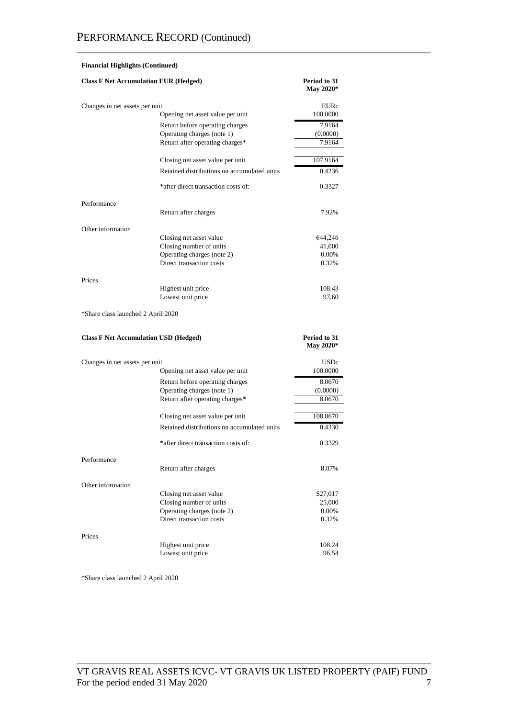|                                              | <b>Financial Highlights (Continued)</b>     |                                  |
|----------------------------------------------|---------------------------------------------|----------------------------------|
| <b>Class F Net Accumulation EUR (Hedged)</b> |                                             | Period to 31<br><b>May 2020*</b> |
| Changes in net assets per unit               |                                             | <b>EURc</b>                      |
|                                              | Opening net asset value per unit            | 100.0000                         |
|                                              | Return before operating charges             | 7.9164                           |
|                                              | Operating charges (note 1)                  | (0.0000)                         |
|                                              | Return after operating charges*             | 7.9164                           |
|                                              | Closing net asset value per unit            | 107.9164                         |
|                                              | Retained distributions on accumulated units | 0.4236                           |
|                                              | *after direct transaction costs of:         | 0.3327                           |
| Performance                                  |                                             |                                  |
|                                              | Return after charges                        | 7.92%                            |
| Other information                            |                                             |                                  |
|                                              | Closing net asset value                     | €44,246                          |
|                                              | Closing number of units                     | 41,000                           |
|                                              | Operating charges (note 2)                  | 0.00%                            |
|                                              | Direct transaction costs                    | 0.32%                            |
| Prices                                       |                                             |                                  |
|                                              | Highest unit price                          | 108.43                           |
|                                              | Lowest unit price                           | 97.60                            |
| *Share class launched 2 April 2020           |                                             |                                  |
|                                              |                                             | Period to 31                     |
| <b>Class F Net Accumulation USD (Hedged)</b> |                                             | May 2020*                        |
|                                              |                                             |                                  |
| Changes in net assets per unit               | Opening net asset value per unit            | USDc<br>100.0000                 |
|                                              | Return before operating charges             | 8.0670                           |
|                                              | Operating charges (note 1)                  | (0.0000)                         |
|                                              | Return after operating charges*             | 8.0670                           |
|                                              | Closing net asset value per unit            | 108.0670                         |
|                                              | Retained distributions on accumulated units | 0.4330                           |
|                                              | *after direct transaction costs of:         | 0.3329                           |
| Performance                                  |                                             |                                  |
|                                              | Return after charges                        | 8.07%                            |
| Other information                            |                                             |                                  |
|                                              | Closing net asset value                     | \$27,017                         |
|                                              | Closing number of units                     | 25,000                           |
|                                              | Operating charges (note 2)                  | 0.00%                            |
|                                              | Direct transaction costs                    | 0.32%                            |
| Prices                                       |                                             |                                  |
|                                              | Highest unit price<br>Lowest unit price     | 108.24<br>96.54                  |

\*Share class launched 2 April 2020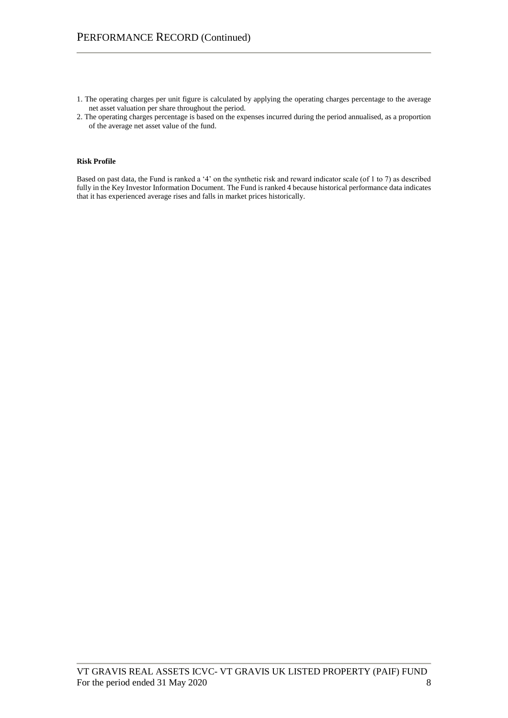- 1. The operating charges per unit figure is calculated by applying the operating charges percentage to the average net asset valuation per share throughout the period.
- 2. The operating charges percentage is based on the expenses incurred during the period annualised, as a proportion of the average net asset value of the fund.

#### **Risk Profile**

Based on past data, the Fund is ranked a '4' on the synthetic risk and reward indicator scale (of 1 to 7) as described fully in the Key Investor Information Document. The Fund is ranked 4 because historical performance data indicates that it has experienced average rises and falls in market prices historically.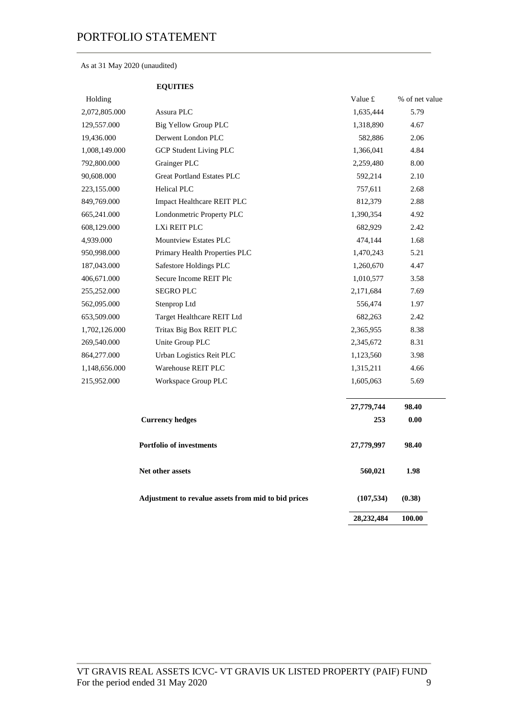### As at 31 May 2020 (unaudited)

 **EQUITIES**

| Holding       |                                                     | Value £    | % of net value |
|---------------|-----------------------------------------------------|------------|----------------|
| 2,072,805.000 | Assura PLC                                          | 1,635,444  | 5.79           |
| 129,557.000   | Big Yellow Group PLC                                | 1,318,890  | 4.67           |
| 19,436.000    | Derwent London PLC                                  | 582,886    | 2.06           |
| 1,008,149.000 | <b>GCP Student Living PLC</b>                       | 1,366,041  | 4.84           |
| 792,800.000   | Grainger PLC                                        | 2,259,480  | 8.00           |
| 90,608.000    | <b>Great Portland Estates PLC</b>                   | 592,214    | 2.10           |
| 223,155.000   | <b>Helical PLC</b>                                  | 757,611    | 2.68           |
| 849,769.000   | Impact Healthcare REIT PLC                          | 812,379    | 2.88           |
| 665,241.000   | Londonmetric Property PLC                           | 1,390,354  | 4.92           |
| 608,129.000   | LXi REIT PLC                                        | 682,929    | 2.42           |
| 4,939.000     | <b>Mountview Estates PLC</b>                        | 474,144    | 1.68           |
| 950,998.000   | Primary Health Properties PLC                       | 1,470,243  | 5.21           |
| 187,043.000   | Safestore Holdings PLC                              | 1,260,670  | 4.47           |
| 406,671.000   | Secure Income REIT Plc                              | 1,010,577  | 3.58           |
| 255,252.000   | <b>SEGRO PLC</b>                                    | 2,171,684  | 7.69           |
| 562,095.000   | Stenprop Ltd                                        | 556,474    | 1.97           |
| 653,509.000   | Target Healthcare REIT Ltd                          | 682,263    | 2.42           |
| 1,702,126.000 | Tritax Big Box REIT PLC                             | 2,365,955  | 8.38           |
| 269,540.000   | Unite Group PLC                                     | 2,345,672  | 8.31           |
| 864,277.000   | Urban Logistics Reit PLC                            | 1,123,560  | 3.98           |
| 1,148,656.000 | Warehouse REIT PLC                                  | 1,315,211  | 4.66           |
| 215,952.000   | Workspace Group PLC                                 | 1,605,063  | 5.69           |
|               |                                                     | 27,779,744 | 98.40          |
|               | <b>Currency hedges</b>                              | 253        | 0.00           |
|               | <b>Portfolio of investments</b>                     | 27,779,997 | 98.40          |
|               | Net other assets                                    | 560,021    | 1.98           |
|               | Adjustment to revalue assets from mid to bid prices | (107, 534) | (0.38)         |
|               |                                                     | 28,232,484 | 100.00         |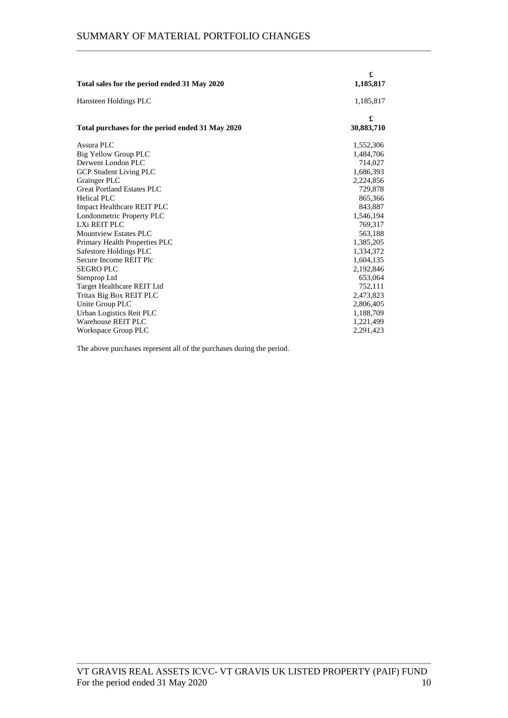|                                                  | £          |
|--------------------------------------------------|------------|
| Total sales for the period ended 31 May 2020     | 1,185,817  |
| Hansteen Holdings PLC                            | 1,185,817  |
|                                                  | £          |
| Total purchases for the period ended 31 May 2020 | 30,883,710 |
| Assura PLC                                       | 1,552,306  |
| Big Yellow Group PLC                             | 1,484,706  |
| Derwent London PLC                               | 714,027    |
| <b>GCP Student Living PLC</b>                    | 1,686,393  |
| Grainger PLC                                     | 2,224,856  |
| Great Portland Estates PLC                       | 729,878    |
| <b>Helical PLC</b>                               | 865,366    |
| <b>Impact Healthcare REIT PLC</b>                | 843,887    |
| Londonmetric Property PLC                        | 1,546,194  |
| LXi REIT PLC                                     | 769,317    |
| <b>Mountview Estates PLC</b>                     | 563,188    |
| Primary Health Properties PLC                    | 1,385,205  |
| Safestore Holdings PLC                           | 1,334,372  |
| Secure Income REIT Plc                           | 1,604,135  |
| <b>SEGRO PLC</b>                                 | 2,192,846  |
| Stenprop Ltd                                     | 653,064    |
| Target Healthcare REIT Ltd                       | 752,111    |
| Tritax Big Box REIT PLC                          | 2,473,823  |
| Unite Group PLC                                  | 2,806,405  |
| Urban Logistics Reit PLC                         | 1,188,709  |
| Warehouse REIT PLC                               | 1,221,499  |
| Workspace Group PLC                              | 2,291,423  |

The above purchases represent all of the purchases during the period.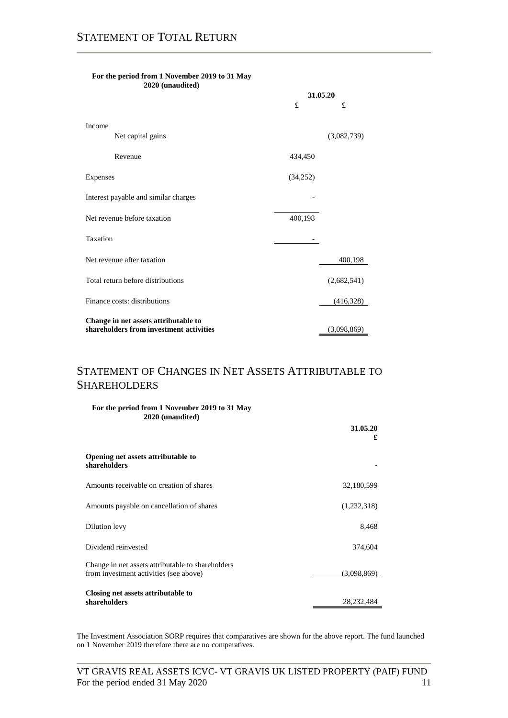|                                                                                 | 31.05.20 |             |
|---------------------------------------------------------------------------------|----------|-------------|
|                                                                                 | £        | £           |
| Income                                                                          |          |             |
| Net capital gains                                                               |          | (3,082,739) |
| Revenue                                                                         | 434,450  |             |
| Expenses                                                                        | (34,252) |             |
| Interest payable and similar charges                                            |          |             |
| Net revenue before taxation                                                     | 400,198  |             |
| Taxation                                                                        |          |             |
| Net revenue after taxation                                                      |          | 400,198     |
| Total return before distributions                                               |          | (2,682,541) |
| Finance costs: distributions                                                    |          | (416,328)   |
| Change in net assets attributable to<br>shareholders from investment activities |          | (3,098,869) |

#### **For the period from 1 November 2019 to 31 May 2020 (unaudited)**

### STATEMENT OF CHANGES IN NET ASSETS ATTRIBUTABLE TO SHAREHOLDERS

| For the period from 1 November 2019 to 31 May<br>2020 (unaudited)                           | 31.05.20<br>£ |
|---------------------------------------------------------------------------------------------|---------------|
| Opening net assets attributable to<br>shareholders                                          |               |
| Amounts receivable on creation of shares                                                    | 32,180,599    |
| Amounts payable on cancellation of shares                                                   | (1,232,318)   |
| Dilution levy                                                                               | 8,468         |
| Dividend reinvested                                                                         | 374,604       |
| Change in net assets attributable to shareholders<br>from investment activities (see above) | (3,098,869)   |
| Closing net assets attributable to<br>shareholders                                          | 28,232,484    |

The Investment Association SORP requires that comparatives are shown for the above report. The fund launched on 1 November 2019 therefore there are no comparatives.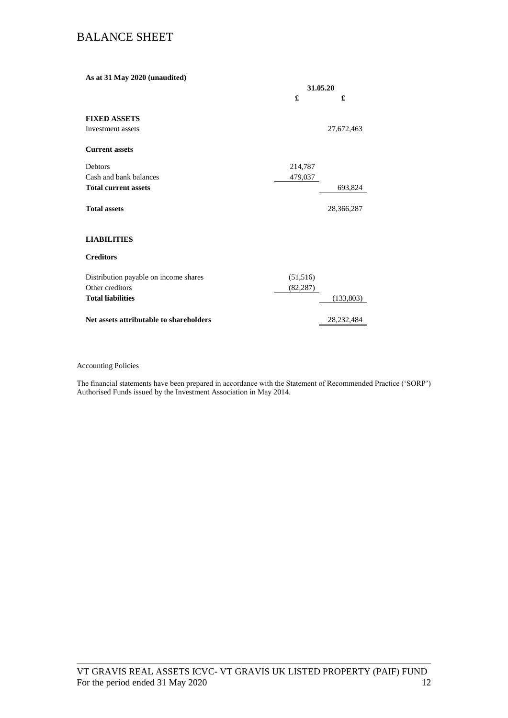### BALANCE SHEET

**As at 31 May 2020 (unaudited) 31.05.20 £ £ FIXED ASSETS** Investment assets 27,672,463 **Current assets** Debtors 214,787 Cash and bank balances 479,037 **Total current assets** 693,824 **Total assets** 28,366,287 **LIABILITIES Creditors** Distribution payable on income shares (51,516) Other creditors (82,287) **Total liabilities** (133,803) **Net assets attributable to shareholders** 28,232,484

#### Accounting Policies

The financial statements have been prepared in accordance with the Statement of Recommended Practice ('SORP') Authorised Funds issued by the Investment Association in May 2014.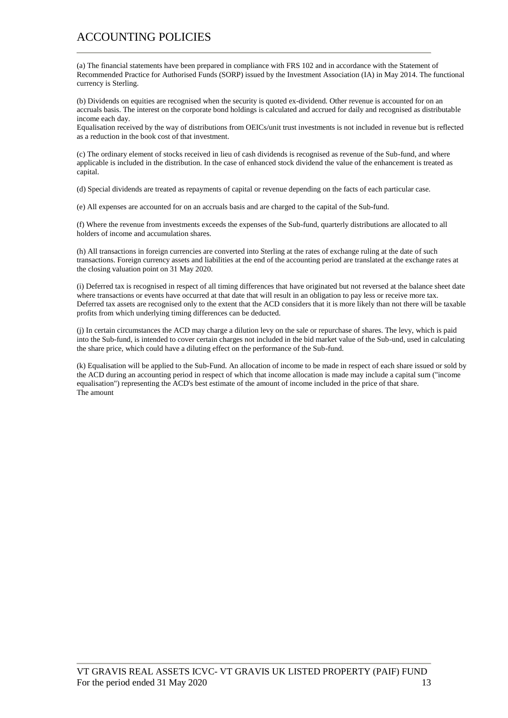### ACCOUNTING POLICIES

(a) The financial statements have been prepared in compliance with FRS 102 and in accordance with the Statement of Recommended Practice for Authorised Funds (SORP) issued by the Investment Association (IA) in May 2014. The functional currency is Sterling.

(b) Dividends on equities are recognised when the security is quoted ex-dividend. Other revenue is accounted for on an accruals basis. The interest on the corporate bond holdings is calculated and accrued for daily and recognised as distributable income each day.

Equalisation received by the way of distributions from OEICs/unit trust investments is not included in revenue but is reflected as a reduction in the book cost of that investment.

(c) The ordinary element of stocks received in lieu of cash dividends is recognised as revenue of the Sub-fund, and where applicable is included in the distribution. In the case of enhanced stock dividend the value of the enhancement is treated as capital.

(d) Special dividends are treated as repayments of capital or revenue depending on the facts of each particular case.

(e) All expenses are accounted for on an accruals basis and are charged to the capital of the Sub-fund.

(f) Where the revenue from investments exceeds the expenses of the Sub-fund, quarterly distributions are allocated to all holders of income and accumulation shares.

(h) All transactions in foreign currencies are converted into Sterling at the rates of exchange ruling at the date of such transactions. Foreign currency assets and liabilities at the end of the accounting period are translated at the exchange rates at the closing valuation point on 31 May 2020.

(i) Deferred tax is recognised in respect of all timing differences that have originated but not reversed at the balance sheet date where transactions or events have occurred at that date that will result in an obligation to pay less or receive more tax. Deferred tax assets are recognised only to the extent that the ACD considers that it is more likely than not there will be taxable profits from which underlying timing differences can be deducted.

(j) In certain circumstances the ACD may charge a dilution levy on the sale or repurchase of shares. The levy, which is paid into the Sub-fund, is intended to cover certain charges not included in the bid market value of the Sub-und, used in calculating the share price, which could have a diluting effect on the performance of the Sub-fund.

(k) Equalisation will be applied to the Sub-Fund. An allocation of income to be made in respect of each share issued or sold by the ACD during an accounting period in respect of which that income allocation is made may include a capital sum ("income equalisation") representing the ACD's best estimate of the amount of income included in the price of that share. The amount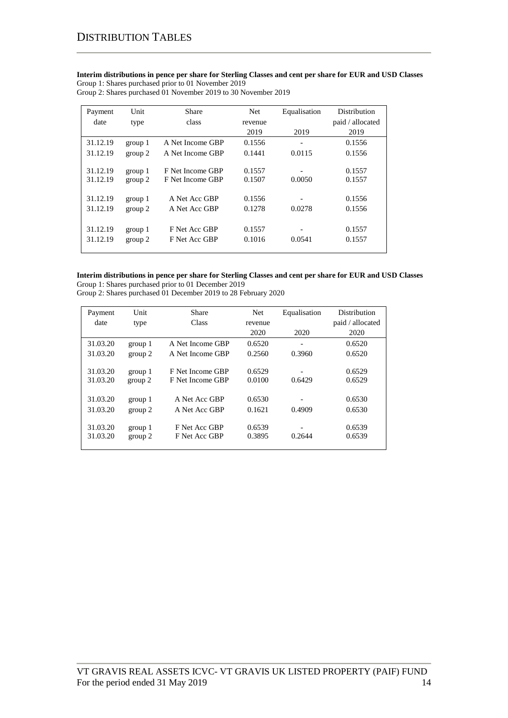**Interim distributions in pence per share for Sterling Classes and cent per share for EUR and USD Classes** Group 1: Shares purchased prior to 01 November 2019

Group 2: Shares purchased 01 November 2019 to 30 November 2019

| Payment  | Unit    | <b>Share</b>     | Net     | Equalisation | Distribution     |
|----------|---------|------------------|---------|--------------|------------------|
| date     | type    | class            | revenue |              | paid / allocated |
|          |         |                  | 2019    | 2019         | 2019             |
| 31.12.19 | group 1 | A Net Income GBP | 0.1556  |              | 0.1556           |
| 31.12.19 | group 2 | A Net Income GBP | 0.1441  | 0.0115       | 0.1556           |
|          |         |                  |         |              |                  |
| 31.12.19 | group 1 | F Net Income GBP | 0.1557  |              | 0.1557           |
| 31.12.19 | group 2 | F Net Income GBP | 0.1507  | 0.0050       | 0.1557           |
|          |         |                  |         |              |                  |
| 31.12.19 | group 1 | A Net Acc GBP    | 0.1556  |              | 0.1556           |
| 31.12.19 | group 2 | A Net Acc GBP    | 0.1278  | 0.0278       | 0.1556           |
|          |         |                  |         |              |                  |
| 31.12.19 | group 1 | F Net Acc GBP    | 0.1557  |              | 0.1557           |
| 31.12.19 | group 2 | F Net Acc GBP    | 0.1016  | 0.0541       | 0.1557           |
|          |         |                  |         |              |                  |

### **Interim distributions in pence per share for Sterling Classes and cent per share for EUR and USD Classes**

Group 1: Shares purchased prior to 01 December 2019 Group 2: Shares purchased 01 December 2019 to 28 February 2020

| Payment  | Unit    | Share            | Net     | Equalisation | Distribution     |
|----------|---------|------------------|---------|--------------|------------------|
| date     | type    | Class            | revenue |              | paid / allocated |
|          |         |                  | 2020    | 2020         | 2020             |
| 31.03.20 | group 1 | A Net Income GBP | 0.6520  | -            | 0.6520           |
| 31.03.20 | group 2 | A Net Income GBP | 0.2560  | 0.3960       | 0.6520           |
|          |         |                  |         |              |                  |
| 31.03.20 | group 1 | F Net Income GBP | 0.6529  |              | 0.6529           |
| 31.03.20 | group 2 | F Net Income GBP | 0.0100  | 0.6429       | 0.6529           |
|          |         |                  |         |              |                  |
| 31.03.20 | group 1 | A Net Acc GBP    | 0.6530  |              | 0.6530           |
| 31.03.20 | group 2 | A Net Acc GBP    | 0.1621  | 0.4909       | 0.6530           |
|          |         |                  |         |              |                  |
| 31.03.20 | group 1 | F Net Acc GBP    | 0.6539  |              | 0.6539           |
| 31.03.20 | group 2 | F Net Acc GBP    | 0.3895  | 0.2644       | 0.6539           |
|          |         |                  |         |              |                  |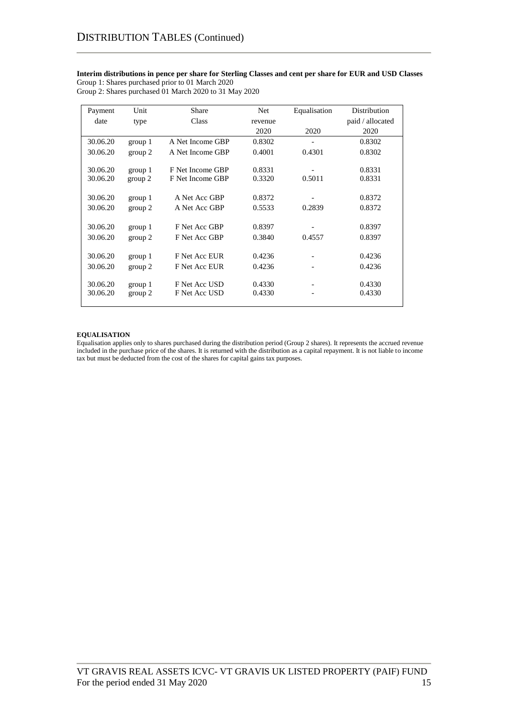#### **Interim distributions in pence per share for Sterling Classes and cent per share for EUR and USD Classes** Group 1: Shares purchased prior to 01 March 2020

Group 2: Shares purchased 01 March 2020 to 31 May 2020

| Payment  | Unit    | Share            | Net     | Equalisation | Distribution     |
|----------|---------|------------------|---------|--------------|------------------|
| date     | type    | Class            | revenue |              | paid / allocated |
|          |         |                  | 2020    | 2020         | 2020             |
| 30.06.20 | group 1 | A Net Income GBP | 0.8302  |              | 0.8302           |
| 30.06.20 | group 2 | A Net Income GBP | 0.4001  | 0.4301       | 0.8302           |
|          |         |                  |         |              |                  |
| 30.06.20 | group 1 | F Net Income GBP | 0.8331  |              | 0.8331           |
| 30.06.20 | group 2 | F Net Income GBP | 0.3320  | 0.5011       | 0.8331           |
|          |         |                  |         |              |                  |
| 30.06.20 | group 1 | A Net Acc GBP    | 0.8372  |              | 0.8372           |
| 30.06.20 | group 2 | A Net Acc GBP    | 0.5533  | 0.2839       | 0.8372           |
|          |         |                  |         |              |                  |
| 30.06.20 | group 1 | F Net Acc GBP    | 0.8397  |              | 0.8397           |
| 30.06.20 | group 2 | F Net Acc GBP    | 0.3840  | 0.4557       | 0.8397           |
|          |         |                  |         |              |                  |
| 30.06.20 | group 1 | F Net Acc EUR    | 0.4236  |              | 0.4236           |
| 30.06.20 | group 2 | F Net Acc EUR    | 0.4236  |              | 0.4236           |
|          |         |                  |         |              |                  |
| 30.06.20 | group 1 | F Net Acc USD    | 0.4330  |              | 0.4330           |
| 30.06.20 | group 2 | F Net Acc USD    | 0.4330  |              | 0.4330           |
|          |         |                  |         |              |                  |

#### **EQUALISATION**

Equalisation applies only to shares purchased during the distribution period (Group 2 shares). It represents the accrued revenue included in the purchase price of the shares. It is returned with the distribution as a capital repayment. It is not liable to income tax but must be deducted from the cost of the shares for capital gains tax purposes.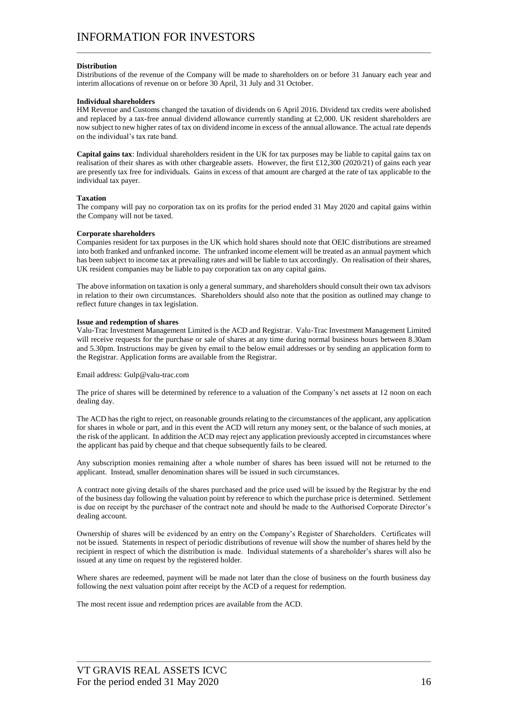#### **Distribution**

Distributions of the revenue of the Company will be made to shareholders on or before 31 January each year and interim allocations of revenue on or before 30 April, 31 July and 31 October.

#### **Individual shareholders**

HM Revenue and Customs changed the taxation of dividends on 6 April 2016. Dividend tax credits were abolished and replaced by a tax-free annual dividend allowance currently standing at £2,000. UK resident shareholders are now subject to new higher rates of tax on dividend income in excess of the annual allowance. The actual rate depends on the individual's tax rate band.

**Capital gains tax**: Individual shareholders resident in the UK for tax purposes may be liable to capital gains tax on realisation of their shares as with other chargeable assets. However, the first £12,300 (2020/21) of gains each year are presently tax free for individuals. Gains in excess of that amount are charged at the rate of tax applicable to the individual tax payer.

#### **Taxation**

The company will pay no corporation tax on its profits for the period ended 31 May 2020 and capital gains within the Company will not be taxed.

#### **Corporate shareholders**

Companies resident for tax purposes in the UK which hold shares should note that OEIC distributions are streamed into both franked and unfranked income. The unfranked income element will be treated as an annual payment which has been subject to income tax at prevailing rates and will be liable to tax accordingly. On realisation of their shares, UK resident companies may be liable to pay corporation tax on any capital gains.

The above information on taxation is only a general summary, and shareholders should consult their own tax advisors in relation to their own circumstances. Shareholders should also note that the position as outlined may change to reflect future changes in tax legislation.

#### **Issue and redemption of shares**

Valu-Trac Investment Management Limited is the ACD and Registrar. Valu-Trac Investment Management Limited will receive requests for the purchase or sale of shares at any time during normal business hours between 8.30am and 5.30pm. Instructions may be given by email to the below email addresses or by sending an application form to the Registrar. Application forms are available from the Registrar.

Email address: Gulp@valu-trac.com

The price of shares will be determined by reference to a valuation of the Company's net assets at 12 noon on each dealing day.

The ACD has the right to reject, on reasonable grounds relating to the circumstances of the applicant, any application for shares in whole or part, and in this event the ACD will return any money sent, or the balance of such monies, at the risk of the applicant. In addition the ACD may reject any application previously accepted in circumstances where the applicant has paid by cheque and that cheque subsequently fails to be cleared.

Any subscription monies remaining after a whole number of shares has been issued will not be returned to the applicant. Instead, smaller denomination shares will be issued in such circumstances.

A contract note giving details of the shares purchased and the price used will be issued by the Registrar by the end of the business day following the valuation point by reference to which the purchase price is determined. Settlement is due on receipt by the purchaser of the contract note and should be made to the Authorised Corporate Director's dealing account.

Ownership of shares will be evidenced by an entry on the Company's Register of Shareholders. Certificates will not be issued. Statements in respect of periodic distributions of revenue will show the number of shares held by the recipient in respect of which the distribution is made. Individual statements of a shareholder's shares will also be issued at any time on request by the registered holder.

Where shares are redeemed, payment will be made not later than the close of business on the fourth business day following the next valuation point after receipt by the ACD of a request for redemption.

The most recent issue and redemption prices are available from the ACD.